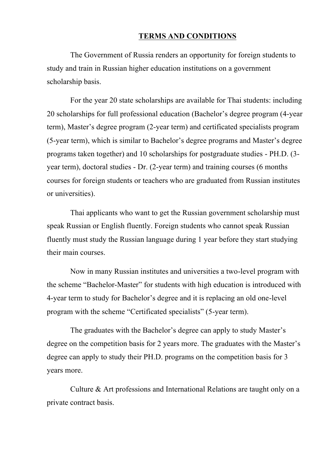#### **TERMS AND CONDITIONS**

The Government of Russia renders an opportunity for foreign students to study and train in Russian higher education institutions on a government scholarship basis.

For the year 20 state scholarships are available for Thai students: including 20 scholarships for full professional education (Bachelor's degree program (4-year term), Master's degree program (2-year term) and certificated specialists program (5-year term), which is similar to Bachelor's degree programs and Master's degree programs taken together) and 10 scholarships for postgraduate studies - PH.D. (3 year term), doctoral studies - Dr. (2-year term) and training courses (6 months courses for foreign students or teachers who are graduated from Russian institutes or universities).

Thai applicants who want to get the Russian government scholarship must speak Russian or English fluently. Foreign students who cannot speak Russian fluently must study the Russian language during 1 year before they start studying their main courses.

Now in many Russian institutes and universities a two-level program with the scheme "Bachelor-Master" for students with high education is introduced with 4-year term to study for Bachelor's degree and it is replacing an old one-level program with the scheme "Certificated specialists" (5-year term).

The graduates with the Bachelor's degree can apply to study Master's degree on the competition basis for 2 years more. The graduates with the Master's degree can apply to study their PH.D. programs on the competition basis for 3 years more.

Culture & Art professions and International Relations are taught only on a private contract basis.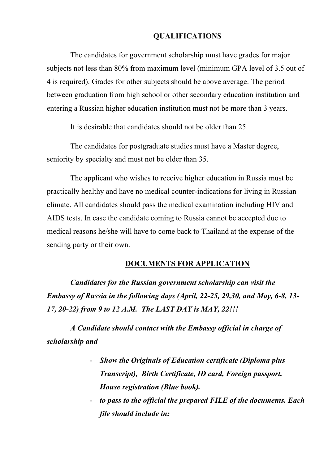### **QUALIFICATIONS**

The candidates for government scholarship must have grades for major subjects not less than 80% from maximum level (minimum GPA level of 3.5 out of 4 is required). Grades for other subjects should be above average. The period between graduation from high school or other secondary education institution and entering a Russian higher education institution must not be more than 3 years.

It is desirable that candidates should not be older than 25.

The candidates for postgraduate studies must have a Master degree, seniority by specialty and must not be older than 35.

The applicant who wishes to receive higher education in Russia must be practically healthy and have no medical counter-indications for living in Russian climate. All candidates should pass the medical examination including HIV and AIDS tests. In case the candidate coming to Russia cannot be accepted due to medical reasons he/she will have to come back to Thailand at the expense of the sending party or their own.

#### **DOCUMENTS FOR APPLICATION**

*Candidates for the Russian government scholarship can visit the Embassy of Russia in the following days (April, 22-25, 29,30, and May, 6-8, 13- 17, 20-22) from 9 to 12 A.M. The LAST DAY is MAY, 22!!!*

*A Candidate should contact with the Embassy official in charge of scholarship and*

- *Show the Originals of Education certificate (Diploma plus Transcript), Birth Certificate, ID card, Foreign passport, House registration (Blue book).*
- *to pass to the official the prepared FILE of the documents. Each file should include in:*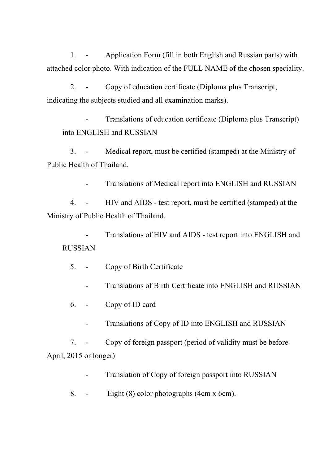1. - Application Form (fill in both English and Russian parts) with attached color photo. With indication of the FULL NAME of the chosen speciality.

2. - Copy of education certificate (Diploma plus Transcript, indicating the subjects studied and all examination marks).

- Translations of education certificate (Diploma plus Transcript) into ENGLISH and RUSSIAN

3. - Medical report, must be certified (stamped) at the Ministry of Public Health of Thailand.

- Translations of Medical report into ENGLISH and RUSSIAN

4. - HIV and AIDS - test report, must be certified (stamped) at the Ministry of Public Health of Thailand.

Translations of HIV and AIDS - test report into ENGLISH and RUSSIAN

5. - Copy of Birth Certificate

- Translations of Birth Certificate into ENGLISH and RUSSIAN
- 6. Copy of ID card
	- Translations of Copy of ID into ENGLISH and RUSSIAN

7. - Copy of foreign passport (period of validity must be before April, 2015 or longer)

- Translation of Copy of foreign passport into RUSSIAN
- 8. Eight (8) color photographs (4cm x 6cm).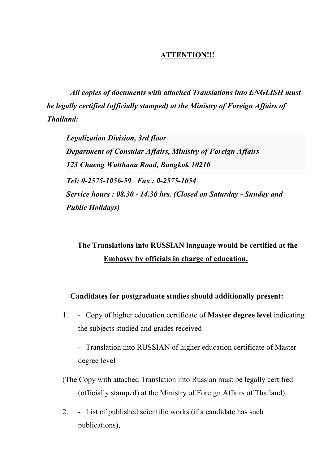## **ATTENTION!!!**

*All copies of documents with attached Translations into ENGLISH must be legally certified (officially stamped) at the Ministry of Foreign Affairs of Thailand:*

*Legalization Division, 3rd floor Department of Consular Affairs, Ministry of Foreign Affairs 123 Chaeng Watthana Road, Bangkok 10210 Tel: 0-2575-1056-59 Fax : 0-2575-1054 Service hours : 08.30 - 14.30 hrs. (Closed on Saturday - Sunday and Public Holidays)*

# **The Translations into RUSSIAN language would be certified at the Embassy by officials in charge of education.**

### **Candidates for postgraduate studies should additionally present:**

1. - Copy of higher education certificate of **Master degree level** indicating the subjects studied and grades received

- Translation into RUSSIAN of higher education certificate of Master degree level

- (The Copy with attached Translation into Russian must be legally certified (officially stamped) at the Ministry of Foreign Affairs of Thailand)
- 2. List of published scientific works (if a candidate has such publications),